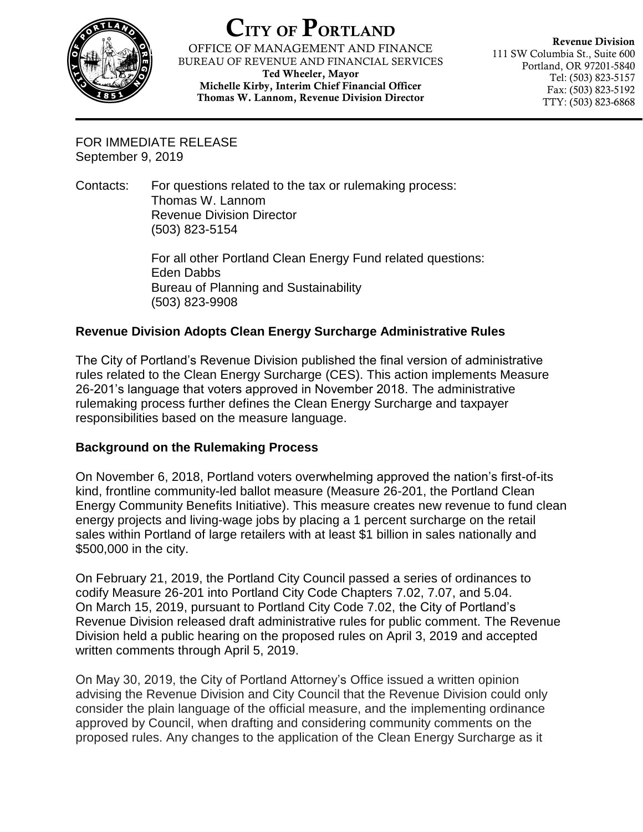

## CITY OF PORTLAND

OFFICE OF MANAGEMENT AND FINANCE BUREAU OF REVENUE AND FINANCIAL SERVICES Ted Wheeler, Mayor

Michelle Kirby, Interim Chief Financial Officer Thomas W. Lannom, Revenue Division Director

Revenue Division 111 SW Columbia St., Suite 600 Portland, OR 97201-5840 Tel: (503) 823-5157 Fax: (503) 823-5192 TTY: (503) 823-6868

FOR IMMEDIATE RELEASE September 9, 2019

Contacts: For questions related to the tax or rulemaking process: Thomas W. Lannom Revenue Division Director (503) 823-5154

> For all other Portland Clean Energy Fund related questions: Eden Dabbs Bureau of Planning and Sustainability (503) 823-9908

## **Revenue Division Adopts Clean Energy Surcharge Administrative Rules**

The City of Portland's Revenue Division published the final version of administrative rules related to the Clean Energy Surcharge (CES). This action implements Measure 26-201's language that voters approved in November 2018. The administrative rulemaking process further defines the Clean Energy Surcharge and taxpayer responsibilities based on the measure language.

## **Background on the Rulemaking Process**

On November 6, 2018, Portland voters overwhelming approved the nation's first-of-its kind, frontline community-led ballot measure (Measure 26-201, the Portland Clean Energy Community Benefits Initiative). This measure creates new revenue to fund clean energy projects and living-wage jobs by placing a 1 percent surcharge on the retail sales within Portland of large retailers with at least \$1 billion in sales nationally and \$500,000 in the city.

On February 21, 2019, the Portland City Council passed a series of ordinances to codify Measure 26-201 into Portland City Code Chapters 7.02, 7.07, and 5.04. On March 15, 2019, pursuant to Portland City Code 7.02, the City of Portland's Revenue Division released draft administrative rules for public comment. The Revenue Division held a public hearing on the proposed rules on April 3, 2019 and accepted written comments through April 5, 2019.

On May 30, 2019, the City of Portland Attorney's Office issued a written opinion advising the Revenue Division and City Council that the Revenue Division could only consider the plain language of the official measure, and the implementing ordinance approved by Council, when drafting and considering community comments on the proposed rules. Any changes to the application of the Clean Energy Surcharge as it